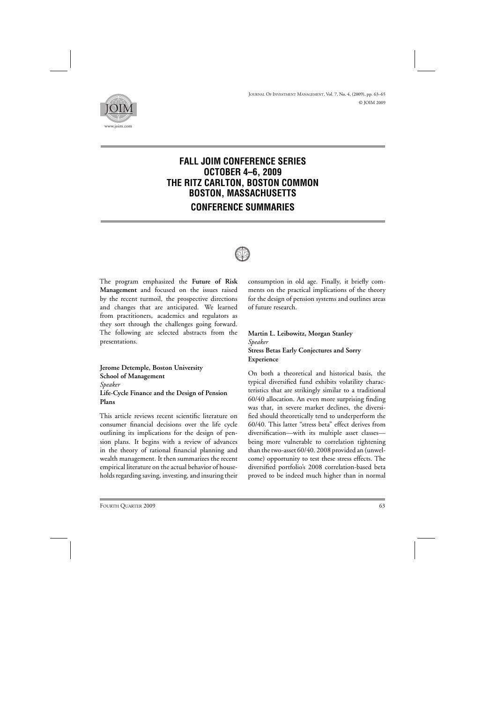

# **FALL JOIM CONFERENCE SERIES OCTOBER 4–6, 2009 THE RITZ CARLTON, BOSTON COMMON BOSTON, MASSACHUSETTS CONFERENCE SUMMARIES**



The program emphasized the **Future of Risk Management** and focused on the issues raised by the recent turmoil, the prospective directions and changes that are anticipated. We learned from practitioners, academics and regulators as they sort through the challenges going forward. The following are selected abstracts from the presentations.

**Jerome Detemple, Boston University School of Management** *Speaker* **Life-Cycle Finance and the Design of Pension Plans**

This article reviews recent scientific literature on consumer financial decisions over the life cycle outlining its implications for the design of pension plans. It begins with a review of advances in the theory of rational financial planning and wealth management. It then summarizes the recent empirical literature on the actual behavior of households regarding saving, investing, and insuring their consumption in old age. Finally, it briefly comments on the practical implications of the theory for the design of pension systems and outlines areas of future research.

#### **Martin L. Leibowitz, Morgan Stanley** *Speaker* **Stress Betas Early Conjectures and Sorry Experience**

On both a theoretical and historical basis, the typical diversified fund exhibits volatility characteristics that are strikingly similar to a traditional 60/40 allocation. An even more surprising finding was that, in severe market declines, the diversified should theoretically tend to underperform the 60/40. This latter "stress beta" effect derives from diversification—with its multiple asset classes being more vulnerable to correlation tightening than the two-asset 60/40. 2008 provided an (unwelcome) opportunity to test these stress effects. The diversified portfolio's 2008 correlation-based beta proved to be indeed much higher than in normal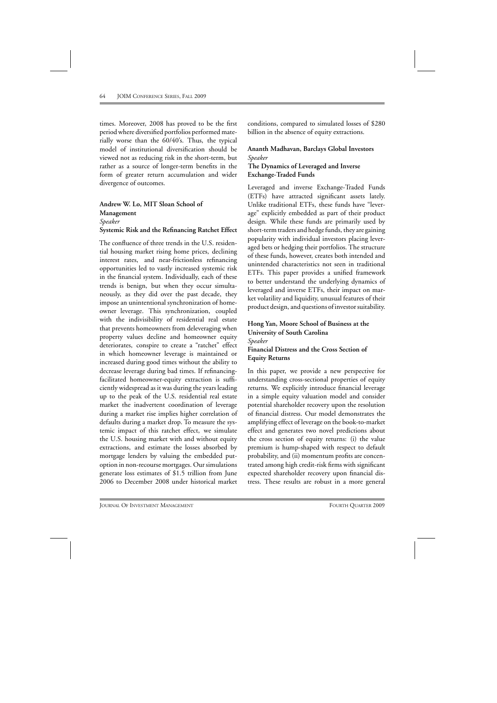times. Moreover, 2008 has proved to be the first period where diversified portfolios performed materially worse than the 60/40's. Thus, the typical model of institutional diversification should be viewed not as reducing risk in the short-term, but rather as a source of longer-term benefits in the form of greater return accumulation and wider divergence of outcomes.

### **Andrew W. Lo, MIT Sloan School of Management** *Speaker* **Systemic Risk and the Refinancing Ratchet Effect**

The confluence of three trends in the U.S. residential housing market rising home prices, declining interest rates, and near-frictionless refinancing opportunities led to vastly increased systemic risk in the financial system. Individually, each of these trends is benign, but when they occur simultaneously, as they did over the past decade, they impose an unintentional synchronization of homeowner leverage. This synchronization, coupled with the indivisibility of residential real estate that prevents homeowners from deleveraging when property values decline and homeowner equity deteriorates, conspire to create a "ratchet" effect in which homeowner leverage is maintained or increased during good times without the ability to decrease leverage during bad times. If refinancingfacilitated homeowner-equity extraction is sufficiently widespread as it was during the years leading up to the peak of the U.S. residential real estate market the inadvertent coordination of leverage during a market rise implies higher correlation of defaults during a market drop. To measure the systemic impact of this ratchet effect, we simulate the U.S. housing market with and without equity extractions, and estimate the losses absorbed by mortgage lenders by valuing the embedded putoption in non-recourse mortgages. Our simulations generate loss estimates of \$1.5 trillion from June 2006 to December 2008 under historical market

conditions, compared to simulated losses of \$280 billion in the absence of equity extractions.

#### **Ananth Madhavan, Barclays Global Investors** *Speaker* **The Dynamics of Leveraged and Inverse Exchange-Traded Funds**

Leveraged and inverse Exchange-Traded Funds (ETFs) have attracted significant assets lately. Unlike traditional ETFs, these funds have "leverage" explicitly embedded as part of their product design. While these funds are primarily used by short-term traders and hedge funds, they are gaining popularity with individual investors placing leveraged bets or hedging their portfolios. The structure of these funds, however, creates both intended and unintended characteristics not seen in traditional ETFs. This paper provides a unified framework to better understand the underlying dynamics of leveraged and inverse ETFs, their impact on market volatility and liquidity, unusual features of their product design, and questions of investor suitability.

#### **Hong Yan, Moore School of Business at the University of South Carolina** *Speaker* **Financial Distress and the Cross Section of**

**Equity Returns** In this paper, we provide a new perspective for

understanding cross-sectional properties of equity returns. We explicitly introduce financial leverage in a simple equity valuation model and consider potential shareholder recovery upon the resolution of financial distress. Our model demonstrates the amplifying effect of leverage on the book-to-market effect and generates two novel predictions about the cross section of equity returns: (i) the value premium is hump-shaped with respect to default probability, and (ii) momentum profits are concentrated among high credit-risk firms with significant expected shareholder recovery upon financial distress. These results are robust in a more general